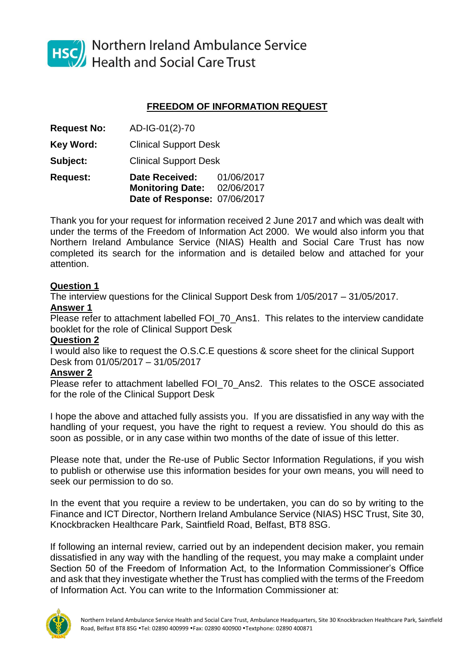

HSC Northern Ireland Ambulance Service<br>Health and Social Care Trust

# **FREEDOM OF INFORMATION REQUEST**

| <b>Request:</b>    | <b>Date Received:</b><br><b>Monitoring Date:</b><br>Date of Response: 07/06/2017 | 01/06/2017<br>02/06/2017 |
|--------------------|----------------------------------------------------------------------------------|--------------------------|
| <b>Subject:</b>    | <b>Clinical Support Desk</b>                                                     |                          |
| Key Word:          | <b>Clinical Support Desk</b>                                                     |                          |
| <b>Request No:</b> | AD-IG-01(2)-70                                                                   |                          |

Thank you for your request for information received 2 June 2017 and which was dealt with under the terms of the Freedom of Information Act 2000. We would also inform you that Northern Ireland Ambulance Service (NIAS) Health and Social Care Trust has now completed its search for the information and is detailed below and attached for your attention.

### **Question 1**

The interview questions for the Clinical Support Desk from 1/05/2017 – 31/05/2017.

# **Answer 1**

Please refer to attachment labelled FOI\_70\_Ans1. This relates to the interview candidate booklet for the role of Clinical Support Desk

### **Question 2**

I would also like to request the O.S.C.E questions & score sheet for the clinical Support Desk from 01/05/2017 – 31/05/2017

### **Answer 2**

Please refer to attachment labelled FOI 70 Ans2. This relates to the OSCE associated for the role of the Clinical Support Desk

I hope the above and attached fully assists you. If you are dissatisfied in any way with the handling of your request, you have the right to request a review. You should do this as soon as possible, or in any case within two months of the date of issue of this letter.

Please note that, under the Re-use of Public Sector Information Regulations, if you wish to publish or otherwise use this information besides for your own means, you will need to seek our permission to do so.

In the event that you require a review to be undertaken, you can do so by writing to the Finance and ICT Director, Northern Ireland Ambulance Service (NIAS) HSC Trust, Site 30, Knockbracken Healthcare Park, Saintfield Road, Belfast, BT8 8SG.

If following an internal review, carried out by an independent decision maker, you remain dissatisfied in any way with the handling of the request, you may make a complaint under Section 50 of the Freedom of Information Act, to the Information Commissioner's Office and ask that they investigate whether the Trust has complied with the terms of the Freedom of Information Act. You can write to the Information Commissioner at: